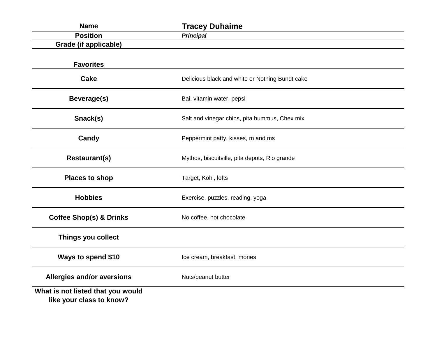| <b>Name</b>                                                   | <b>Tracey Duhaime</b>                           |
|---------------------------------------------------------------|-------------------------------------------------|
| <b>Position</b>                                               | <b>Principal</b>                                |
| <b>Grade (if applicable)</b>                                  |                                                 |
| <b>Favorites</b>                                              |                                                 |
| <b>Cake</b>                                                   | Delicious black and white or Nothing Bundt cake |
| <b>Beverage(s)</b>                                            | Bai, vitamin water, pepsi                       |
| Snack(s)                                                      | Salt and vinegar chips, pita hummus, Chex mix   |
| Candy                                                         | Peppermint patty, kisses, m and ms              |
| <b>Restaurant(s)</b>                                          | Mythos, biscuitville, pita depots, Rio grande   |
| <b>Places to shop</b>                                         | Target, Kohl, lofts                             |
| <b>Hobbies</b>                                                | Exercise, puzzles, reading, yoga                |
| <b>Coffee Shop(s) &amp; Drinks</b>                            | No coffee, hot chocolate                        |
| Things you collect                                            |                                                 |
| Ways to spend \$10                                            | Ice cream, breakfast, mories                    |
| Allergies and/or aversions                                    | Nuts/peanut butter                              |
| What is not listed that you would<br>like your class to know? |                                                 |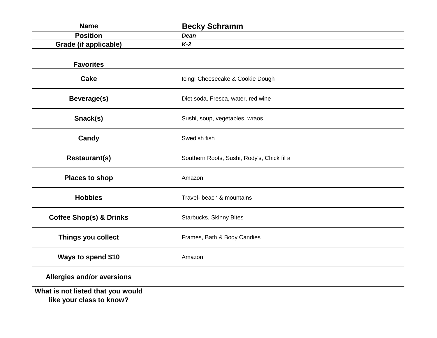| <b>Name</b>                                                   | <b>Becky Schramm</b>                       |
|---------------------------------------------------------------|--------------------------------------------|
| <b>Position</b>                                               | <b>Dean</b>                                |
| <b>Grade (if applicable)</b>                                  | $K-2$                                      |
| <b>Favorites</b>                                              |                                            |
| <b>Cake</b>                                                   | Icing! Cheesecake & Cookie Dough           |
| Beverage(s)                                                   | Diet soda, Fresca, water, red wine         |
| Snack(s)                                                      | Sushi, soup, vegetables, wraos             |
| Candy                                                         | Swedish fish                               |
| <b>Restaurant(s)</b>                                          | Southern Roots, Sushi, Rody's, Chick fil a |
| <b>Places to shop</b>                                         | Amazon                                     |
| <b>Hobbies</b>                                                | Travel- beach & mountains                  |
| <b>Coffee Shop(s) &amp; Drinks</b>                            | Starbucks, Skinny Bites                    |
| Things you collect                                            | Frames, Bath & Body Candies                |
| Ways to spend \$10                                            | Amazon                                     |
| Allergies and/or aversions                                    |                                            |
| What is not listed that you would<br>like your class to know? |                                            |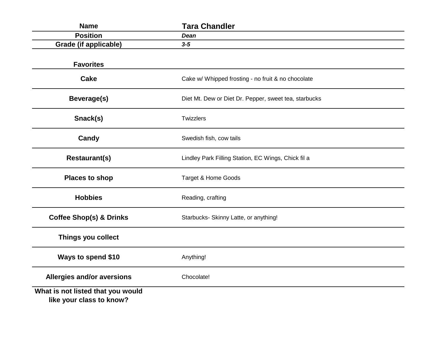| <b>Name</b>                                                   | <b>Tara Chandler</b>                                  |
|---------------------------------------------------------------|-------------------------------------------------------|
| <b>Position</b>                                               | <b>Dean</b>                                           |
| <b>Grade (if applicable)</b>                                  | $3 - 5$                                               |
| <b>Favorites</b>                                              |                                                       |
| <b>Cake</b>                                                   | Cake w/ Whipped frosting - no fruit & no chocolate    |
| Beverage(s)                                                   | Diet Mt. Dew or Diet Dr. Pepper, sweet tea, starbucks |
| Snack(s)                                                      | Twizzlers                                             |
| Candy                                                         | Swedish fish, cow tails                               |
| <b>Restaurant(s)</b>                                          | Lindley Park Filling Station, EC Wings, Chick fil a   |
| <b>Places to shop</b>                                         | Target & Home Goods                                   |
| <b>Hobbies</b>                                                | Reading, crafting                                     |
| <b>Coffee Shop(s) &amp; Drinks</b>                            | Starbucks- Skinny Latte, or anything!                 |
| Things you collect                                            |                                                       |
| Ways to spend \$10                                            | Anything!                                             |
| Allergies and/or aversions                                    | Chocolate!                                            |
| What is not listed that you would<br>like your class to know? |                                                       |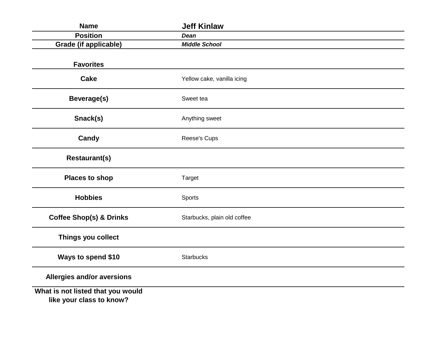| <b>Name</b>                                                   | <b>Jeff Kinlaw</b>          |
|---------------------------------------------------------------|-----------------------------|
| <b>Position</b>                                               | <b>Dean</b>                 |
| <b>Grade (if applicable)</b>                                  | <b>Middle School</b>        |
| <b>Favorites</b>                                              |                             |
| <b>Cake</b>                                                   | Yellow cake, vanilla icing  |
| <b>Beverage(s)</b>                                            | Sweet tea                   |
| Snack(s)                                                      | Anything sweet              |
| Candy                                                         | Reese's Cups                |
| <b>Restaurant(s)</b>                                          |                             |
| <b>Places to shop</b>                                         | <b>Target</b>               |
| <b>Hobbies</b>                                                | Sports                      |
| <b>Coffee Shop(s) &amp; Drinks</b>                            | Starbucks, plain old coffee |
| Things you collect                                            |                             |
| Ways to spend \$10                                            | <b>Starbucks</b>            |
| Allergies and/or aversions                                    |                             |
| What is not listed that you would<br>like your class to know? |                             |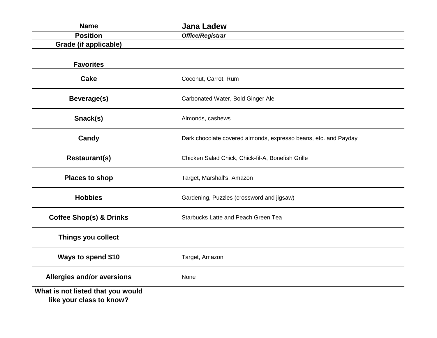| <b>Name</b>                                                   | <b>Jana Ladew</b>                                               |
|---------------------------------------------------------------|-----------------------------------------------------------------|
| <b>Position</b>                                               | <b>Office/Registrar</b>                                         |
| <b>Grade (if applicable)</b>                                  |                                                                 |
| <b>Favorites</b>                                              |                                                                 |
| <b>Cake</b>                                                   | Coconut, Carrot, Rum                                            |
| Beverage(s)                                                   | Carbonated Water, Bold Ginger Ale                               |
| Snack(s)                                                      | Almonds, cashews                                                |
| Candy                                                         | Dark chocolate covered almonds, expresso beans, etc. and Payday |
| <b>Restaurant(s)</b>                                          | Chicken Salad Chick, Chick-fil-A, Bonefish Grille               |
| <b>Places to shop</b>                                         | Target, Marshall's, Amazon                                      |
| <b>Hobbies</b>                                                | Gardening, Puzzles (crossword and jigsaw)                       |
| <b>Coffee Shop(s) &amp; Drinks</b>                            | <b>Starbucks Latte and Peach Green Tea</b>                      |
| Things you collect                                            |                                                                 |
| Ways to spend \$10                                            | Target, Amazon                                                  |
| Allergies and/or aversions                                    | None                                                            |
| What is not listed that you would<br>like your class to know? |                                                                 |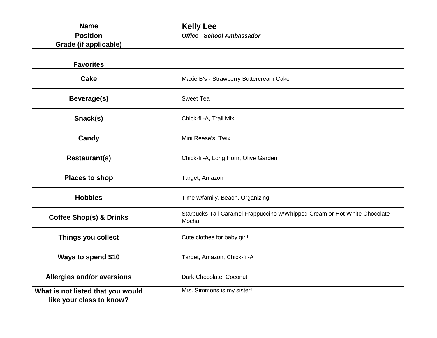| <b>Name</b>                                                   | <b>Kelly Lee</b>                                                                   |
|---------------------------------------------------------------|------------------------------------------------------------------------------------|
| <b>Position</b>                                               | <b>Office - School Ambassador</b>                                                  |
| Grade (if applicable)                                         |                                                                                    |
| <b>Favorites</b>                                              |                                                                                    |
| <b>Cake</b>                                                   | Maxie B's - Strawberry Buttercream Cake                                            |
| Beverage(s)                                                   | <b>Sweet Tea</b>                                                                   |
| Snack(s)                                                      | Chick-fil-A, Trail Mix                                                             |
| Candy                                                         | Mini Reese's, Twix                                                                 |
| <b>Restaurant(s)</b>                                          | Chick-fil-A, Long Horn, Olive Garden                                               |
| <b>Places to shop</b>                                         | Target, Amazon                                                                     |
| <b>Hobbies</b>                                                | Time w/family, Beach, Organizing                                                   |
| <b>Coffee Shop(s) &amp; Drinks</b>                            | Starbucks Tall Caramel Frappuccino w/Whipped Cream or Hot White Chocolate<br>Mocha |
| Things you collect                                            | Cute clothes for baby girl!                                                        |
| Ways to spend \$10                                            | Target, Amazon, Chick-fil-A                                                        |
| <b>Allergies and/or aversions</b>                             | Dark Chocolate, Coconut                                                            |
| What is not listed that you would<br>like your class to know? | Mrs. Simmons is my sister!                                                         |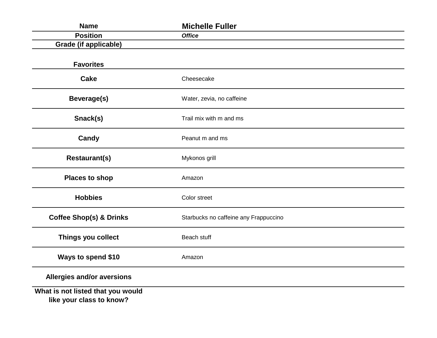| <b>Name</b>                                                   | <b>Michelle Fuller</b>                |
|---------------------------------------------------------------|---------------------------------------|
| <b>Position</b>                                               | <b>Office</b>                         |
| <b>Grade (if applicable)</b>                                  |                                       |
| <b>Favorites</b>                                              |                                       |
| <b>Cake</b>                                                   | Cheesecake                            |
| <b>Beverage(s)</b>                                            | Water, zevia, no caffeine             |
| Snack(s)                                                      | Trail mix with m and ms               |
| Candy                                                         | Peanut m and ms                       |
| <b>Restaurant(s)</b>                                          | Mykonos grill                         |
| <b>Places to shop</b>                                         | Amazon                                |
| <b>Hobbies</b>                                                | Color street                          |
| <b>Coffee Shop(s) &amp; Drinks</b>                            | Starbucks no caffeine any Frappuccino |
| Things you collect                                            | Beach stuff                           |
| <b>Ways to spend \$10</b>                                     | Amazon                                |
| Allergies and/or aversions                                    |                                       |
| What is not listed that you would<br>like your class to know? |                                       |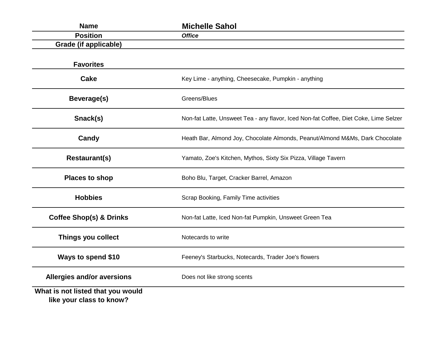| <b>Name</b>                                                   | <b>Michelle Sahol</b>                                                                |
|---------------------------------------------------------------|--------------------------------------------------------------------------------------|
| <b>Position</b>                                               | <b>Office</b>                                                                        |
| <b>Grade (if applicable)</b>                                  |                                                                                      |
| <b>Favorites</b>                                              |                                                                                      |
| <b>Cake</b>                                                   | Key Lime - anything, Cheesecake, Pumpkin - anything                                  |
| Beverage(s)                                                   | Greens/Blues                                                                         |
| Snack(s)                                                      | Non-fat Latte, Unsweet Tea - any flavor, Iced Non-fat Coffee, Diet Coke, Lime Selzer |
| Candy                                                         | Heath Bar, Almond Joy, Chocolate Almonds, Peanut/Almond M&Ms, Dark Chocolate         |
| <b>Restaurant(s)</b>                                          | Yamato, Zoe's Kitchen, Mythos, Sixty Six Pizza, Village Tavern                       |
| <b>Places to shop</b>                                         | Boho Blu, Target, Cracker Barrel, Amazon                                             |
| <b>Hobbies</b>                                                | Scrap Booking, Family Time activities                                                |
| <b>Coffee Shop(s) &amp; Drinks</b>                            | Non-fat Latte, Iced Non-fat Pumpkin, Unsweet Green Tea                               |
| Things you collect                                            | Notecards to write                                                                   |
| Ways to spend \$10                                            | Feeney's Starbucks, Notecards, Trader Joe's flowers                                  |
| <b>Allergies and/or aversions</b>                             | Does not like strong scents                                                          |
| What is not listed that you would<br>like your class to know? |                                                                                      |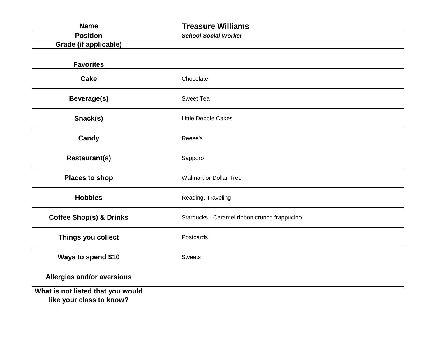| <b>Name</b>                                                   | <b>Treasure Williams</b>                     |
|---------------------------------------------------------------|----------------------------------------------|
| <b>Position</b>                                               | <b>School Social Worker</b>                  |
| <b>Grade (if applicable)</b>                                  |                                              |
| <b>Favorites</b>                                              |                                              |
| <b>Cake</b>                                                   | Chocolate                                    |
| <b>Beverage(s)</b>                                            | Sweet Tea                                    |
| Snack(s)                                                      | <b>Little Debbie Cakes</b>                   |
| Candy                                                         | Reese's                                      |
| <b>Restaurant(s)</b>                                          | Sapporo                                      |
| <b>Places to shop</b>                                         | <b>Walmart or Dollar Tree</b>                |
| <b>Hobbies</b>                                                | Reading, Traveling                           |
| <b>Coffee Shop(s) &amp; Drinks</b>                            | Starbucks - Caramel ribbon crunch frappucino |
| Things you collect                                            | Postcards                                    |
| <b>Ways to spend \$10</b>                                     | <b>Sweets</b>                                |
| Allergies and/or aversions                                    |                                              |
| What is not listed that you would<br>like your class to know? |                                              |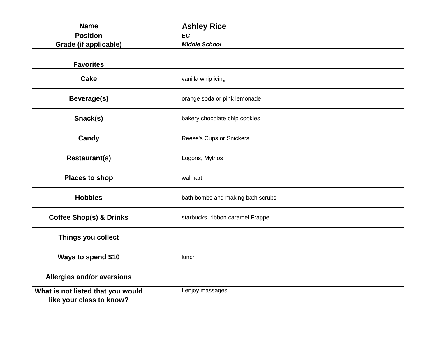| <b>Name</b>                                                   | <b>Ashley Rice</b>                |
|---------------------------------------------------------------|-----------------------------------|
| <b>Position</b>                                               | <b>EC</b>                         |
| <b>Grade (if applicable)</b>                                  | <b>Middle School</b>              |
| <b>Favorites</b>                                              |                                   |
| <b>Cake</b>                                                   | vanilla whip icing                |
| Beverage(s)                                                   | orange soda or pink lemonade      |
| Snack(s)                                                      | bakery chocolate chip cookies     |
| Candy                                                         | Reese's Cups or Snickers          |
| <b>Restaurant(s)</b>                                          | Logons, Mythos                    |
| <b>Places to shop</b>                                         | walmart                           |
| <b>Hobbies</b>                                                | bath bombs and making bath scrubs |
| <b>Coffee Shop(s) &amp; Drinks</b>                            | starbucks, ribbon caramel Frappe  |
| Things you collect                                            |                                   |
| Ways to spend \$10                                            | lunch                             |
| Allergies and/or aversions                                    |                                   |
| What is not listed that you would<br>like your class to know? | I enjoy massages                  |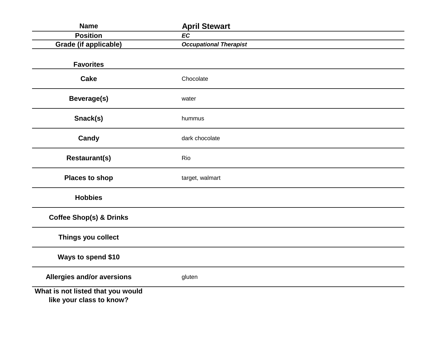| <b>Name</b>                                                   | <b>April Stewart</b>          |  |
|---------------------------------------------------------------|-------------------------------|--|
| <b>Position</b>                                               | <b>EC</b>                     |  |
| <b>Grade (if applicable)</b>                                  | <b>Occupational Therapist</b> |  |
| <b>Favorites</b>                                              |                               |  |
| <b>Cake</b>                                                   | Chocolate                     |  |
| <b>Beverage(s)</b>                                            | water                         |  |
| Snack(s)                                                      | hummus                        |  |
| Candy                                                         | dark chocolate                |  |
| <b>Restaurant(s)</b>                                          | Rio                           |  |
| <b>Places to shop</b>                                         | target, walmart               |  |
| <b>Hobbies</b>                                                |                               |  |
| <b>Coffee Shop(s) &amp; Drinks</b>                            |                               |  |
| Things you collect                                            |                               |  |
| Ways to spend \$10                                            |                               |  |
| Allergies and/or aversions                                    | gluten                        |  |
| What is not listed that you would<br>like your class to know? |                               |  |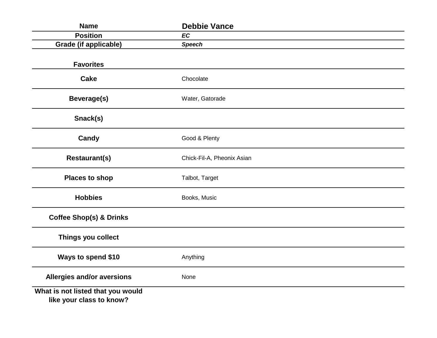| <b>Name</b>                                                   | <b>Debbie Vance</b>        |  |
|---------------------------------------------------------------|----------------------------|--|
| <b>Position</b>                                               | <b>EC</b>                  |  |
| <b>Grade (if applicable)</b>                                  | <b>Speech</b>              |  |
| <b>Favorites</b>                                              |                            |  |
| <b>Cake</b>                                                   | Chocolate                  |  |
| <b>Beverage(s)</b>                                            | Water, Gatorade            |  |
| Snack(s)                                                      |                            |  |
| Candy                                                         | Good & Plenty              |  |
| <b>Restaurant(s)</b>                                          | Chick-Fil-A, Pheonix Asian |  |
| <b>Places to shop</b>                                         | Talbot, Target             |  |
| <b>Hobbies</b>                                                | Books, Music               |  |
| <b>Coffee Shop(s) &amp; Drinks</b>                            |                            |  |
| Things you collect                                            |                            |  |
| Ways to spend \$10                                            | Anything                   |  |
| Allergies and/or aversions                                    | None                       |  |
| What is not listed that you would<br>like your class to know? |                            |  |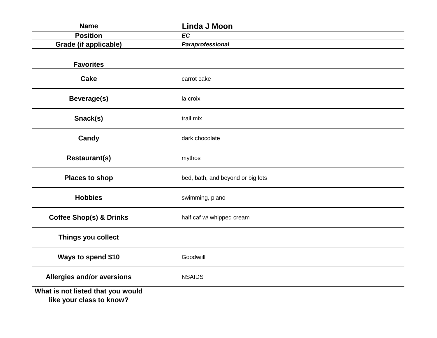| <b>Name</b>                                                   | Linda J Moon                      |
|---------------------------------------------------------------|-----------------------------------|
| <b>Position</b>                                               | <b>EC</b>                         |
| <b>Grade (if applicable)</b>                                  | Paraprofessional                  |
| <b>Favorites</b>                                              |                                   |
| <b>Cake</b>                                                   | carrot cake                       |
| Beverage(s)                                                   | la croix                          |
| Snack(s)                                                      | trail mix                         |
| Candy                                                         | dark chocolate                    |
| <b>Restaurant(s)</b>                                          | mythos                            |
| <b>Places to shop</b>                                         | bed, bath, and beyond or big lots |
| <b>Hobbies</b>                                                | swimming, piano                   |
| <b>Coffee Shop(s) &amp; Drinks</b>                            | half caf w/ whipped cream         |
| Things you collect                                            |                                   |
| Ways to spend \$10                                            | Goodwiill                         |
| Allergies and/or aversions                                    | <b>NSAIDS</b>                     |
| What is not listed that you would<br>like your class to know? |                                   |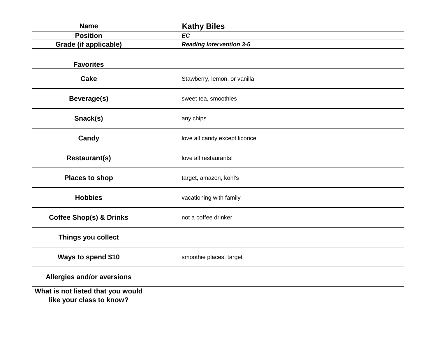| <b>Name</b>                                                   | <b>Kathy Biles</b>              |
|---------------------------------------------------------------|---------------------------------|
| <b>Position</b>                                               | <b>EC</b>                       |
| <b>Grade (if applicable)</b>                                  | <b>Reading Intervention 3-5</b> |
| <b>Favorites</b>                                              |                                 |
| <b>Cake</b>                                                   | Stawberry, lemon, or vanilla    |
| Beverage(s)                                                   | sweet tea, smoothies            |
| Snack(s)                                                      | any chips                       |
| Candy                                                         | love all candy except licorice  |
| <b>Restaurant(s)</b>                                          | love all restaurants!           |
| <b>Places to shop</b>                                         | target, amazon, kohl's          |
| <b>Hobbies</b>                                                | vacationing with family         |
| <b>Coffee Shop(s) &amp; Drinks</b>                            | not a coffee drinker            |
| Things you collect                                            |                                 |
| Ways to spend \$10                                            | smoothie places, target         |
| Allergies and/or aversions                                    |                                 |
| What is not listed that you would<br>like your class to know? |                                 |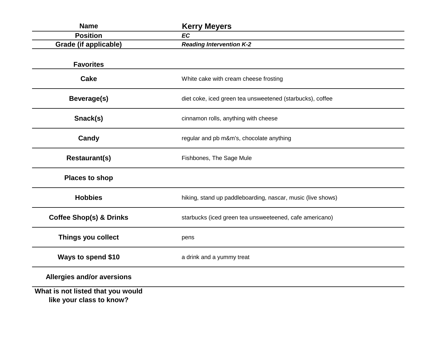| <b>Name</b>                                                   | <b>Kerry Meyers</b>                                         |
|---------------------------------------------------------------|-------------------------------------------------------------|
| <b>Position</b>                                               | <b>EC</b>                                                   |
| <b>Grade (if applicable)</b>                                  | <b>Reading Intervention K-2</b>                             |
| <b>Favorites</b>                                              |                                                             |
| <b>Cake</b>                                                   | White cake with cream cheese frosting                       |
| Beverage(s)                                                   | diet coke, iced green tea unsweetened (starbucks), coffee   |
| Snack(s)                                                      | cinnamon rolls, anything with cheese                        |
| Candy                                                         | regular and pb m&m's, chocolate anything                    |
| <b>Restaurant(s)</b>                                          | Fishbones, The Sage Mule                                    |
| <b>Places to shop</b>                                         |                                                             |
| <b>Hobbies</b>                                                | hiking, stand up paddleboarding, nascar, music (live shows) |
| <b>Coffee Shop(s) &amp; Drinks</b>                            | starbucks (iced green tea unsweeteened, cafe americano)     |
| Things you collect                                            | pens                                                        |
| Ways to spend \$10                                            | a drink and a yummy treat                                   |
| <b>Allergies and/or aversions</b>                             |                                                             |
| What is not listed that you would<br>like your class to know? |                                                             |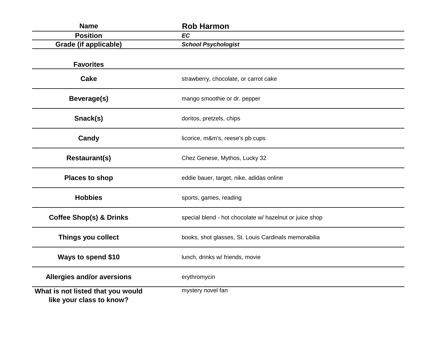| <b>Name</b>                                                   | <b>Rob Harmon</b>                                       |
|---------------------------------------------------------------|---------------------------------------------------------|
| <b>Position</b>                                               | <b>EC</b>                                               |
| <b>Grade (if applicable)</b>                                  | <b>School Psychologist</b>                              |
| <b>Favorites</b>                                              |                                                         |
| <b>Cake</b>                                                   | strawberry, chocolate, or carrot cake                   |
| Beverage(s)                                                   | mango smoothie or dr. pepper                            |
| Snack(s)                                                      | doritos, pretzels, chips                                |
| Candy                                                         | licorice, m&m's, reese's pb cups                        |
| <b>Restaurant(s)</b>                                          | Chez Genese, Mythos, Lucky 32                           |
| <b>Places to shop</b>                                         | eddie bauer, target, nike, adidas online                |
| <b>Hobbies</b>                                                | sports, games, reading                                  |
| <b>Coffee Shop(s) &amp; Drinks</b>                            | special blend - hot chocolate w/ hazelnut or juice shop |
| Things you collect                                            | books, shot glasses, St. Louis Cardinals memorabilia    |
| Ways to spend \$10                                            | lunch, drinks w/ friends, movie                         |
| <b>Allergies and/or aversions</b>                             | erythromycin                                            |
| What is not listed that you would<br>like your class to know? | mystery novel fan                                       |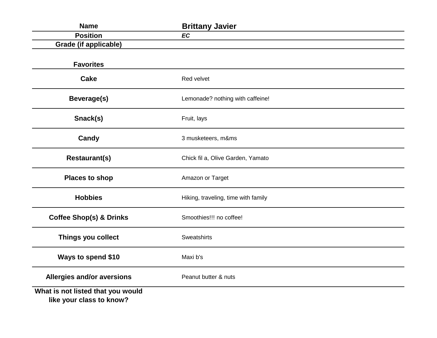| <b>Name</b>                                                   | <b>Brittany Javier</b>              |
|---------------------------------------------------------------|-------------------------------------|
| <b>Position</b>                                               | <b>EC</b>                           |
| <b>Grade (if applicable)</b>                                  |                                     |
| <b>Favorites</b>                                              |                                     |
| <b>Cake</b>                                                   | Red velvet                          |
| <b>Beverage(s)</b>                                            | Lemonade? nothing with caffeine!    |
| Snack(s)                                                      | Fruit, lays                         |
| Candy                                                         | 3 musketeers, m&ms                  |
| <b>Restaurant(s)</b>                                          | Chick fil a, Olive Garden, Yamato   |
| <b>Places to shop</b>                                         | Amazon or Target                    |
| <b>Hobbies</b>                                                | Hiking, traveling, time with family |
| <b>Coffee Shop(s) &amp; Drinks</b>                            | Smoothies!!! no coffee!             |
| Things you collect                                            | Sweatshirts                         |
| Ways to spend \$10                                            | Maxi b's                            |
| <b>Allergies and/or aversions</b>                             | Peanut butter & nuts                |
| What is not listed that you would<br>like your class to know? |                                     |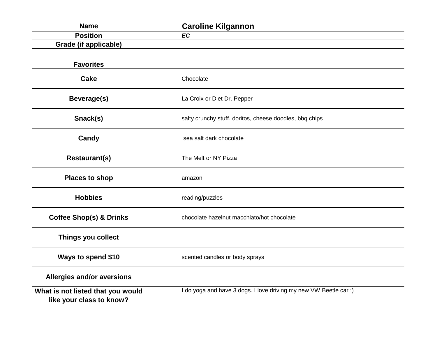| <b>Name</b>                                                   | <b>Caroline Kilgannon</b>                                         |
|---------------------------------------------------------------|-------------------------------------------------------------------|
| <b>Position</b>                                               | <b>EC</b>                                                         |
| <b>Grade (if applicable)</b>                                  |                                                                   |
| <b>Favorites</b>                                              |                                                                   |
| <b>Cake</b>                                                   | Chocolate                                                         |
| Beverage(s)                                                   | La Croix or Diet Dr. Pepper                                       |
| Snack(s)                                                      | salty crunchy stuff. doritos, cheese doodles, bbq chips           |
| Candy                                                         | sea salt dark chocolate                                           |
| <b>Restaurant(s)</b>                                          | The Melt or NY Pizza                                              |
| <b>Places to shop</b>                                         | amazon                                                            |
| <b>Hobbies</b>                                                | reading/puzzles                                                   |
| <b>Coffee Shop(s) &amp; Drinks</b>                            | chocolate hazelnut macchiato/hot chocolate                        |
| Things you collect                                            |                                                                   |
| Ways to spend \$10                                            | scented candles or body sprays                                    |
| Allergies and/or aversions                                    |                                                                   |
| What is not listed that you would<br>like your class to know? | I do yoga and have 3 dogs. I love driving my new VW Beetle car :) |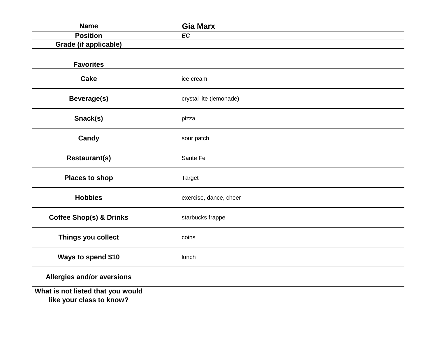| <b>Name</b>                                                   | <b>Gia Marx</b>         |
|---------------------------------------------------------------|-------------------------|
| <b>Position</b>                                               | <b>EC</b>               |
| <b>Grade (if applicable)</b>                                  |                         |
| <b>Favorites</b>                                              |                         |
| <b>Cake</b>                                                   | ice cream               |
| Beverage(s)                                                   | crystal lite (lemonade) |
| Snack(s)                                                      | pizza                   |
| Candy                                                         | sour patch              |
| <b>Restaurant(s)</b>                                          | Sante Fe                |
| <b>Places to shop</b>                                         | <b>Target</b>           |
| <b>Hobbies</b>                                                | exercise, dance, cheer  |
| <b>Coffee Shop(s) &amp; Drinks</b>                            | starbucks frappe        |
| Things you collect                                            | coins                   |
| Ways to spend \$10                                            | lunch                   |
| Allergies and/or aversions                                    |                         |
| What is not listed that you would<br>like your class to know? |                         |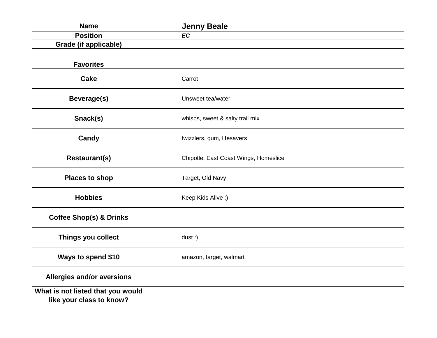| <b>Name</b>                                                   | <b>Jenny Beale</b>                    |
|---------------------------------------------------------------|---------------------------------------|
| <b>Position</b>                                               | <b>EC</b>                             |
| <b>Grade (if applicable)</b>                                  |                                       |
| <b>Favorites</b>                                              |                                       |
| <b>Cake</b>                                                   | Carrot                                |
| <b>Beverage(s)</b>                                            | Unsweet tea/water                     |
| Snack(s)                                                      | whisps, sweet & salty trail mix       |
| Candy                                                         | twizzlers, gum, lifesavers            |
| <b>Restaurant(s)</b>                                          | Chipotle, East Coast Wings, Homeslice |
| <b>Places to shop</b>                                         | Target, Old Navy                      |
| <b>Hobbies</b>                                                | Keep Kids Alive:)                     |
| <b>Coffee Shop(s) &amp; Drinks</b>                            |                                       |
| Things you collect                                            | $dust:$ )                             |
| Ways to spend \$10                                            | amazon, target, walmart               |
| Allergies and/or aversions                                    |                                       |
| What is not listed that you would<br>like your class to know? |                                       |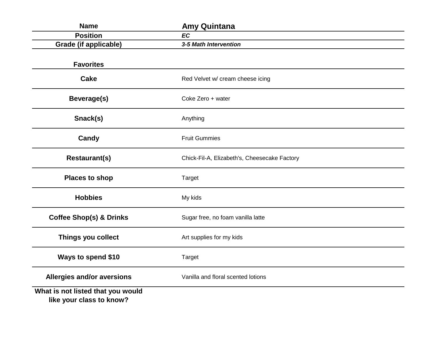| <b>Name</b>                                                   | <b>Amy Quintana</b>                          |
|---------------------------------------------------------------|----------------------------------------------|
| <b>Position</b>                                               | <b>EC</b>                                    |
| <b>Grade (if applicable)</b>                                  | 3-5 Math Intervention                        |
| <b>Favorites</b>                                              |                                              |
| <b>Cake</b>                                                   | Red Velvet w/ cream cheese icing             |
| <b>Beverage(s)</b>                                            | Coke Zero + water                            |
| Snack(s)                                                      | Anything                                     |
| Candy                                                         | <b>Fruit Gummies</b>                         |
| <b>Restaurant(s)</b>                                          | Chick-Fil-A, Elizabeth's, Cheesecake Factory |
| <b>Places to shop</b>                                         | <b>Target</b>                                |
| <b>Hobbies</b>                                                | My kids                                      |
| <b>Coffee Shop(s) &amp; Drinks</b>                            | Sugar free, no foam vanilla latte            |
| Things you collect                                            | Art supplies for my kids                     |
| Ways to spend \$10                                            | <b>Target</b>                                |
| <b>Allergies and/or aversions</b>                             | Vanilla and floral scented lotions           |
| What is not listed that you would<br>like your class to know? |                                              |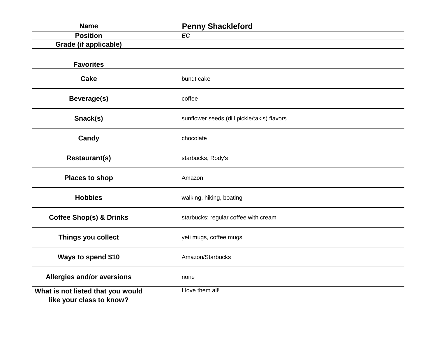| <b>Name</b>                                                   | <b>Penny Shackleford</b>                    |
|---------------------------------------------------------------|---------------------------------------------|
| <b>Position</b>                                               | <b>EC</b>                                   |
| <b>Grade (if applicable)</b>                                  |                                             |
| <b>Favorites</b>                                              |                                             |
| <b>Cake</b>                                                   | bundt cake                                  |
| <b>Beverage(s)</b>                                            | coffee                                      |
| Snack(s)                                                      | sunflower seeds (dill pickle/takis) flavors |
| Candy                                                         | chocolate                                   |
| <b>Restaurant(s)</b>                                          | starbucks, Rody's                           |
| <b>Places to shop</b>                                         | Amazon                                      |
| <b>Hobbies</b>                                                | walking, hiking, boating                    |
| <b>Coffee Shop(s) &amp; Drinks</b>                            | starbucks: regular coffee with cream        |
| Things you collect                                            | yeti mugs, coffee mugs                      |
| Ways to spend \$10                                            | Amazon/Starbucks                            |
| Allergies and/or aversions                                    | none                                        |
| What is not listed that you would<br>like your class to know? | I love them all!                            |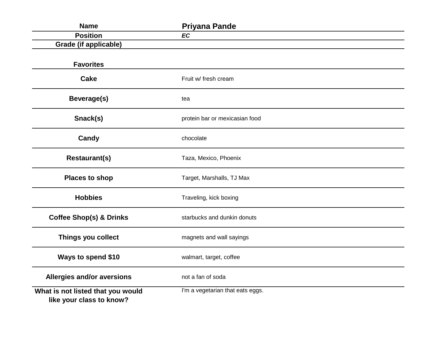| <b>Name</b>                                                   | <b>Priyana Pande</b>             |
|---------------------------------------------------------------|----------------------------------|
| <b>Position</b>                                               | <b>EC</b>                        |
| <b>Grade (if applicable)</b>                                  |                                  |
|                                                               |                                  |
| <b>Favorites</b>                                              |                                  |
| <b>Cake</b>                                                   | Fruit w/ fresh cream             |
| <b>Beverage(s)</b>                                            | tea                              |
| Snack(s)                                                      | protein bar or mexicasian food   |
| Candy                                                         | chocolate                        |
| <b>Restaurant(s)</b>                                          | Taza, Mexico, Phoenix            |
| <b>Places to shop</b>                                         | Target, Marshalls, TJ Max        |
| <b>Hobbies</b>                                                | Traveling, kick boxing           |
| <b>Coffee Shop(s) &amp; Drinks</b>                            | starbucks and dunkin donuts      |
| Things you collect                                            | magnets and wall sayings         |
| Ways to spend \$10                                            | walmart, target, coffee          |
| <b>Allergies and/or aversions</b>                             | not a fan of soda                |
| What is not listed that you would<br>like your class to know? | I'm a vegetarian that eats eggs. |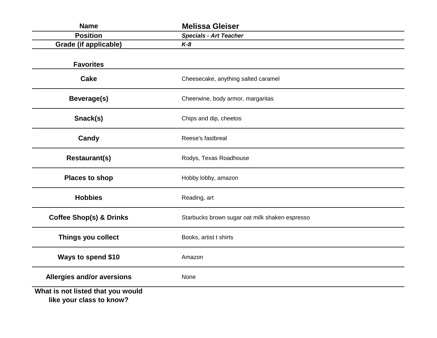| <b>Name</b>                                                   | <b>Melissa Gleiser</b>                         |
|---------------------------------------------------------------|------------------------------------------------|
| <b>Position</b>                                               | <b>Specials - Art Teacher</b>                  |
| <b>Grade (if applicable)</b>                                  | $K-8$                                          |
| <b>Favorites</b>                                              |                                                |
| <b>Cake</b>                                                   | Cheesecake, anything salted caramel            |
| Beverage(s)                                                   | Cheerwine, body armor, margaritas              |
| Snack(s)                                                      | Chips and dip, cheetos                         |
| Candy                                                         | Reese's fastbreal                              |
| <b>Restaurant(s)</b>                                          | Rodys, Texas Roadhouse                         |
| <b>Places to shop</b>                                         | Hobby lobby, amazon                            |
| <b>Hobbies</b>                                                | Reading, art                                   |
| <b>Coffee Shop(s) &amp; Drinks</b>                            | Starbucks brown sugar oat milk shaken espresso |
| Things you collect                                            | Books, artist t shirts                         |
| Ways to spend \$10                                            | Amazon                                         |
| <b>Allergies and/or aversions</b>                             | None                                           |
| What is not listed that you would<br>like your class to know? |                                                |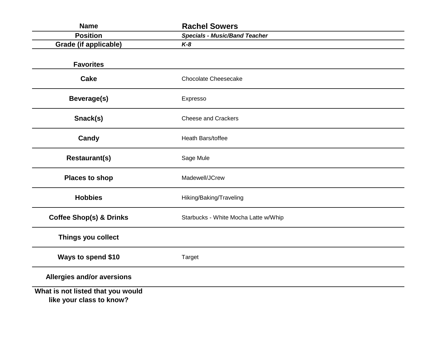| <b>Name</b>                                                   | <b>Rachel Sowers</b>                 |
|---------------------------------------------------------------|--------------------------------------|
| <b>Position</b>                                               | <b>Specials - Music/Band Teacher</b> |
| <b>Grade (if applicable)</b>                                  | $K-8$                                |
| <b>Favorites</b>                                              |                                      |
| <b>Cake</b>                                                   | <b>Chocolate Cheesecake</b>          |
| Beverage(s)                                                   | Expresso                             |
| Snack(s)                                                      | <b>Cheese and Crackers</b>           |
| Candy                                                         | Heath Bars/toffee                    |
| <b>Restaurant(s)</b>                                          | Sage Mule                            |
| <b>Places to shop</b>                                         | Madewell/JCrew                       |
| <b>Hobbies</b>                                                | Hiking/Baking/Traveling              |
| <b>Coffee Shop(s) &amp; Drinks</b>                            | Starbucks - White Mocha Latte w/Whip |
| Things you collect                                            |                                      |
| Ways to spend \$10                                            | <b>Target</b>                        |
| Allergies and/or aversions                                    |                                      |
| What is not listed that you would<br>like your class to know? |                                      |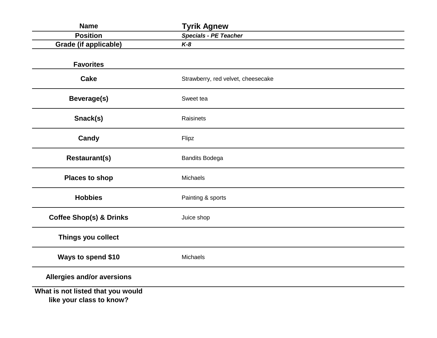| <b>Name</b>                                                   | <b>Tyrik Agnew</b>                 |
|---------------------------------------------------------------|------------------------------------|
| <b>Position</b>                                               | <b>Specials - PE Teacher</b>       |
| <b>Grade (if applicable)</b>                                  | $K-8$                              |
| <b>Favorites</b>                                              |                                    |
| <b>Cake</b>                                                   | Strawberry, red velvet, cheesecake |
| Beverage(s)                                                   | Sweet tea                          |
| Snack(s)                                                      | Raisinets                          |
| Candy                                                         | Flipz                              |
| <b>Restaurant(s)</b>                                          | <b>Bandits Bodega</b>              |
| <b>Places to shop</b>                                         | Michaels                           |
| <b>Hobbies</b>                                                | Painting & sports                  |
| <b>Coffee Shop(s) &amp; Drinks</b>                            | Juice shop                         |
| Things you collect                                            |                                    |
| Ways to spend \$10                                            | Michaels                           |
| Allergies and/or aversions                                    |                                    |
| What is not listed that you would<br>like your class to know? |                                    |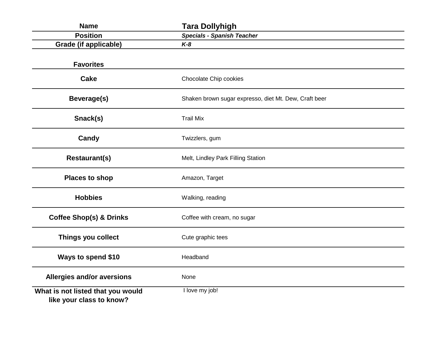| <b>Name</b>                                                   | <b>Tara Dollyhigh</b>                                 |
|---------------------------------------------------------------|-------------------------------------------------------|
| <b>Position</b>                                               | <b>Specials - Spanish Teacher</b>                     |
| <b>Grade (if applicable)</b>                                  | $K-8$                                                 |
| <b>Favorites</b>                                              |                                                       |
| <b>Cake</b>                                                   | Chocolate Chip cookies                                |
| Beverage(s)                                                   | Shaken brown sugar expresso, diet Mt. Dew, Craft beer |
| Snack(s)                                                      | <b>Trail Mix</b>                                      |
| Candy                                                         | Twizzlers, gum                                        |
| <b>Restaurant(s)</b>                                          | Melt, Lindley Park Filling Station                    |
| <b>Places to shop</b>                                         | Amazon, Target                                        |
| <b>Hobbies</b>                                                | Walking, reading                                      |
| <b>Coffee Shop(s) &amp; Drinks</b>                            | Coffee with cream, no sugar                           |
| Things you collect                                            | Cute graphic tees                                     |
| Ways to spend \$10                                            | Headband                                              |
| Allergies and/or aversions                                    | None                                                  |
| What is not listed that you would<br>like your class to know? | I love my job!                                        |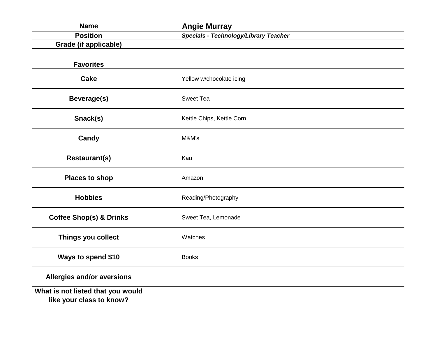| <b>Name</b>                                                   | <b>Angie Murray</b>                   |  |
|---------------------------------------------------------------|---------------------------------------|--|
| <b>Position</b>                                               | Specials - Technology/Library Teacher |  |
| <b>Grade (if applicable)</b>                                  |                                       |  |
| <b>Favorites</b>                                              |                                       |  |
| <b>Cake</b>                                                   | Yellow w/chocolate icing              |  |
| <b>Beverage(s)</b>                                            | <b>Sweet Tea</b>                      |  |
| Snack(s)                                                      | Kettle Chips, Kettle Corn             |  |
| Candy                                                         | M&M's                                 |  |
| <b>Restaurant(s)</b>                                          | Kau                                   |  |
| <b>Places to shop</b>                                         | Amazon                                |  |
| <b>Hobbies</b>                                                | Reading/Photography                   |  |
| <b>Coffee Shop(s) &amp; Drinks</b>                            | Sweet Tea, Lemonade                   |  |
| Things you collect                                            | Watches                               |  |
| Ways to spend \$10                                            | <b>Books</b>                          |  |
| Allergies and/or aversions                                    |                                       |  |
| What is not listed that you would<br>like your class to know? |                                       |  |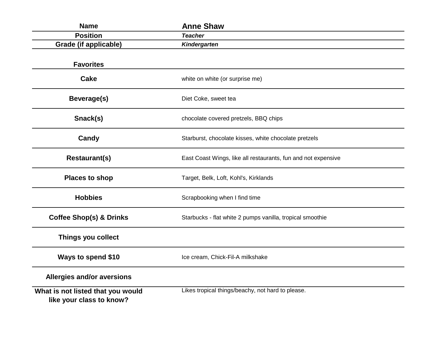| <b>Name</b>                                                   | <b>Anne Shaw</b>                                              |
|---------------------------------------------------------------|---------------------------------------------------------------|
| <b>Position</b>                                               | <b>Teacher</b>                                                |
| <b>Grade (if applicable)</b>                                  | Kindergarten                                                  |
| <b>Favorites</b>                                              |                                                               |
| <b>Cake</b>                                                   | white on white (or surprise me)                               |
| Beverage(s)                                                   | Diet Coke, sweet tea                                          |
| Snack(s)                                                      | chocolate covered pretzels, BBQ chips                         |
| Candy                                                         | Starburst, chocolate kisses, white chocolate pretzels         |
| <b>Restaurant(s)</b>                                          | East Coast Wings, like all restaurants, fun and not expensive |
| <b>Places to shop</b>                                         | Target, Belk, Loft, Kohl's, Kirklands                         |
| <b>Hobbies</b>                                                | Scrapbooking when I find time                                 |
| <b>Coffee Shop(s) &amp; Drinks</b>                            | Starbucks - flat white 2 pumps vanilla, tropical smoothie     |
| Things you collect                                            |                                                               |
| Ways to spend \$10                                            | Ice cream, Chick-Fil-A milkshake                              |
| <b>Allergies and/or aversions</b>                             |                                                               |
| What is not listed that you would<br>like your class to know? | Likes tropical things/beachy, not hard to please.             |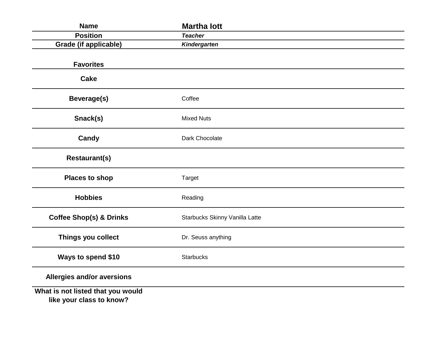| <b>Name</b>                                                   | <b>Martha lott</b>             |
|---------------------------------------------------------------|--------------------------------|
| <b>Position</b>                                               | <b>Teacher</b>                 |
| <b>Grade (if applicable)</b>                                  | Kindergarten                   |
| <b>Favorites</b>                                              |                                |
| <b>Cake</b>                                                   |                                |
| <b>Beverage(s)</b>                                            | Coffee                         |
| Snack(s)                                                      | <b>Mixed Nuts</b>              |
| Candy                                                         | Dark Chocolate                 |
| <b>Restaurant(s)</b>                                          |                                |
| <b>Places to shop</b>                                         | Target                         |
| <b>Hobbies</b>                                                | Reading                        |
| <b>Coffee Shop(s) &amp; Drinks</b>                            | Starbucks Skinny Vanilla Latte |
| Things you collect                                            | Dr. Seuss anything             |
| Ways to spend \$10                                            | <b>Starbucks</b>               |
| Allergies and/or aversions                                    |                                |
| What is not listed that you would<br>like your class to know? |                                |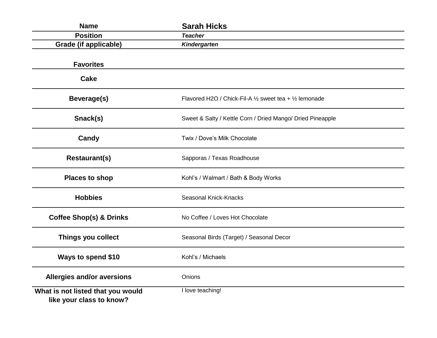| <b>Name</b>                                                   | <b>Sarah Hicks</b>                                         |
|---------------------------------------------------------------|------------------------------------------------------------|
| <b>Position</b>                                               | <b>Teacher</b>                                             |
| <b>Grade (if applicable)</b>                                  | Kindergarten                                               |
|                                                               |                                                            |
| <b>Favorites</b>                                              |                                                            |
| <b>Cake</b>                                                   |                                                            |
| Beverage(s)                                                   | Flavored H2O / Chick-Fil-A 1/2 sweet tea + 1/2 lemonade    |
| Snack(s)                                                      | Sweet & Salty / Kettle Corn / Dried Mango/ Dried Pineapple |
| Candy                                                         | Twix / Dove's Milk Chocolate                               |
| <b>Restaurant(s)</b>                                          | Sapporas / Texas Roadhouse                                 |
| <b>Places to shop</b>                                         | Kohl's / Walmart / Bath & Body Works                       |
| <b>Hobbies</b>                                                | Seasonal Knick-Knacks                                      |
| <b>Coffee Shop(s) &amp; Drinks</b>                            | No Coffee / Loves Hot Chocolate                            |
| Things you collect                                            | Seasonal Birds (Target) / Seasonal Decor                   |
| Ways to spend \$10                                            | Kohl's / Michaels                                          |
| <b>Allergies and/or aversions</b>                             | Onions                                                     |
| What is not listed that you would<br>like your class to know? | I love teaching!                                           |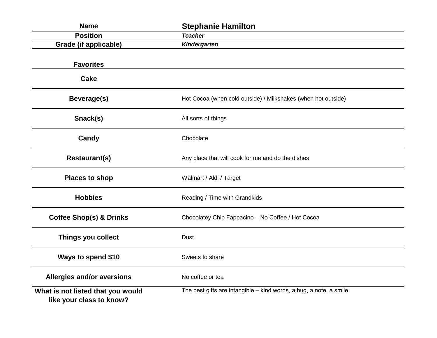| <b>Name</b>                                                   | <b>Stephanie Hamilton</b>                                           |
|---------------------------------------------------------------|---------------------------------------------------------------------|
| <b>Position</b>                                               | <b>Teacher</b>                                                      |
| Grade (if applicable)                                         | Kindergarten                                                        |
| <b>Favorites</b>                                              |                                                                     |
| <b>Cake</b>                                                   |                                                                     |
| Beverage(s)                                                   | Hot Cocoa (when cold outside) / Milkshakes (when hot outside)       |
| Snack(s)                                                      | All sorts of things                                                 |
| Candy                                                         | Chocolate                                                           |
| <b>Restaurant(s)</b>                                          | Any place that will cook for me and do the dishes                   |
| <b>Places to shop</b>                                         | Walmart / Aldi / Target                                             |
| <b>Hobbies</b>                                                | Reading / Time with Grandkids                                       |
| <b>Coffee Shop(s) &amp; Drinks</b>                            | Chocolatey Chip Fappacino - No Coffee / Hot Cocoa                   |
| Things you collect                                            | Dust                                                                |
| Ways to spend \$10                                            | Sweets to share                                                     |
| <b>Allergies and/or aversions</b>                             | No coffee or tea                                                    |
| What is not listed that you would<br>like your class to know? | The best gifts are intangible - kind words, a hug, a note, a smile. |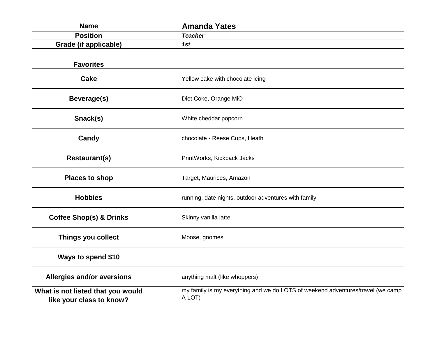| <b>Name</b>                                                   | <b>Amanda Yates</b>                                                                       |
|---------------------------------------------------------------|-------------------------------------------------------------------------------------------|
| <b>Position</b>                                               | <b>Teacher</b>                                                                            |
| <b>Grade (if applicable)</b>                                  | 1st                                                                                       |
| <b>Favorites</b>                                              |                                                                                           |
| <b>Cake</b>                                                   | Yellow cake with chocolate icing                                                          |
| Beverage(s)                                                   | Diet Coke, Orange MiO                                                                     |
| Snack(s)                                                      | White cheddar popcorn                                                                     |
| Candy                                                         | chocolate - Reese Cups, Heath                                                             |
| <b>Restaurant(s)</b>                                          | PrintWorks, Kickback Jacks                                                                |
| <b>Places to shop</b>                                         | Target, Maurices, Amazon                                                                  |
| <b>Hobbies</b>                                                | running, date nights, outdoor adventures with family                                      |
| <b>Coffee Shop(s) &amp; Drinks</b>                            | Skinny vanilla latte                                                                      |
| Things you collect                                            | Moose, gnomes                                                                             |
| Ways to spend \$10                                            |                                                                                           |
| <b>Allergies and/or aversions</b>                             | anything malt (like whoppers)                                                             |
| What is not listed that you would<br>like your class to know? | my family is my everything and we do LOTS of weekend adventures/travel (we camp<br>A LOT) |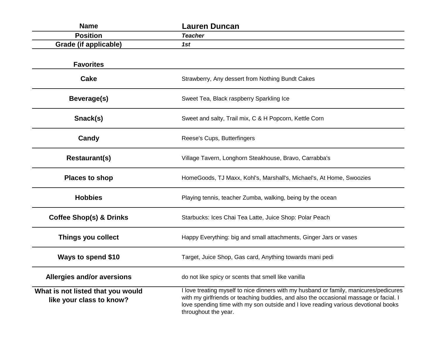| <b>Name</b>                                                   | <b>Lauren Duncan</b>                                                                                                                                                                                                                                                                         |
|---------------------------------------------------------------|----------------------------------------------------------------------------------------------------------------------------------------------------------------------------------------------------------------------------------------------------------------------------------------------|
| <b>Position</b>                                               | <b>Teacher</b>                                                                                                                                                                                                                                                                               |
| Grade (if applicable)                                         | 1st                                                                                                                                                                                                                                                                                          |
| <b>Favorites</b>                                              |                                                                                                                                                                                                                                                                                              |
| Cake                                                          | Strawberry, Any dessert from Nothing Bundt Cakes                                                                                                                                                                                                                                             |
| Beverage(s)                                                   | Sweet Tea, Black raspberry Sparkling Ice                                                                                                                                                                                                                                                     |
| Snack(s)                                                      | Sweet and salty, Trail mix, C & H Popcorn, Kettle Corn                                                                                                                                                                                                                                       |
| Candy                                                         | Reese's Cups, Butterfingers                                                                                                                                                                                                                                                                  |
| <b>Restaurant(s)</b>                                          | Village Tavern, Longhorn Steakhouse, Bravo, Carrabba's                                                                                                                                                                                                                                       |
| <b>Places to shop</b>                                         | HomeGoods, TJ Maxx, Kohl's, Marshall's, Michael's, At Home, Swoozies                                                                                                                                                                                                                         |
| <b>Hobbies</b>                                                | Playing tennis, teacher Zumba, walking, being by the ocean                                                                                                                                                                                                                                   |
| <b>Coffee Shop(s) &amp; Drinks</b>                            | Starbucks: Ices Chai Tea Latte, Juice Shop: Polar Peach                                                                                                                                                                                                                                      |
| Things you collect                                            | Happy Everything: big and small attachments, Ginger Jars or vases                                                                                                                                                                                                                            |
| Ways to spend \$10                                            | Target, Juice Shop, Gas card, Anything towards mani pedi                                                                                                                                                                                                                                     |
| Allergies and/or aversions                                    | do not like spicy or scents that smell like vanilla                                                                                                                                                                                                                                          |
| What is not listed that you would<br>like your class to know? | I love treating myself to nice dinners with my husband or family, manicures/pedicures<br>with my girlfriends or teaching buddies, and also the occasional massage or facial. I<br>love spending time with my son outside and I love reading various devotional books<br>throughout the year. |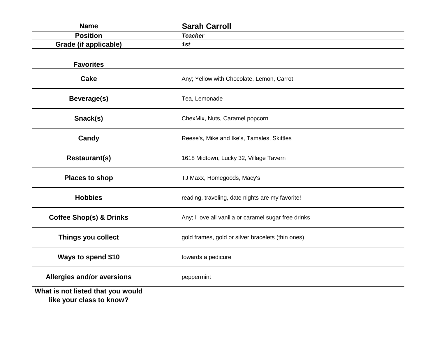| <b>Name</b>                                                   | <b>Sarah Carroll</b>                                 |
|---------------------------------------------------------------|------------------------------------------------------|
| <b>Position</b>                                               | <b>Teacher</b>                                       |
| Grade (if applicable)                                         | 1st                                                  |
| <b>Favorites</b>                                              |                                                      |
| Cake                                                          | Any; Yellow with Chocolate, Lemon, Carrot            |
| <b>Beverage(s)</b>                                            | Tea, Lemonade                                        |
| Snack(s)                                                      | ChexMix, Nuts, Caramel popcorn                       |
| Candy                                                         | Reese's, Mike and Ike's, Tamales, Skittles           |
| <b>Restaurant(s)</b>                                          | 1618 Midtown, Lucky 32, Village Tavern               |
| <b>Places to shop</b>                                         | TJ Maxx, Homegoods, Macy's                           |
| <b>Hobbies</b>                                                | reading, traveling, date nights are my favorite!     |
| <b>Coffee Shop(s) &amp; Drinks</b>                            | Any; I love all vanilla or caramel sugar free drinks |
| Things you collect                                            | gold frames, gold or silver bracelets (thin ones)    |
| Ways to spend \$10                                            | towards a pedicure                                   |
| <b>Allergies and/or aversions</b>                             | peppermint                                           |
| What is not listed that you would<br>like your class to know? |                                                      |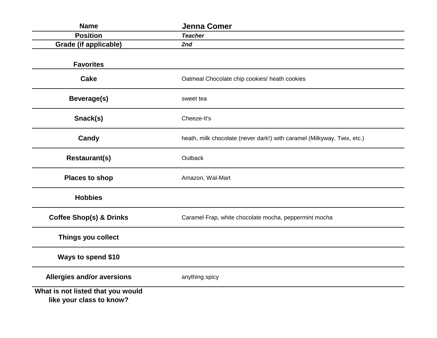| <b>Name</b>                                                   | <b>Jenna Comer</b>                                                      |
|---------------------------------------------------------------|-------------------------------------------------------------------------|
| <b>Position</b>                                               | <b>Teacher</b>                                                          |
| <b>Grade (if applicable)</b>                                  | 2nd                                                                     |
| <b>Favorites</b>                                              |                                                                         |
| Cake                                                          | Oatmeal Chocolate chip cookies/ heath cookies                           |
| <b>Beverage(s)</b>                                            | sweet tea                                                               |
| Snack(s)                                                      | Cheeze-It's                                                             |
| Candy                                                         | heath, milk chocolate (never dark!) with caramel (Milkyway, Twix, etc.) |
| <b>Restaurant(s)</b>                                          | Outback                                                                 |
| <b>Places to shop</b>                                         | Amazon, Wal-Mart                                                        |
| <b>Hobbies</b>                                                |                                                                         |
| <b>Coffee Shop(s) &amp; Drinks</b>                            | Caramel Frap, white chocolate mocha, peppermint mocha                   |
| Things you collect                                            |                                                                         |
| Ways to spend \$10                                            |                                                                         |
| Allergies and/or aversions                                    | anything spicy                                                          |
| What is not listed that you would<br>like your class to know? |                                                                         |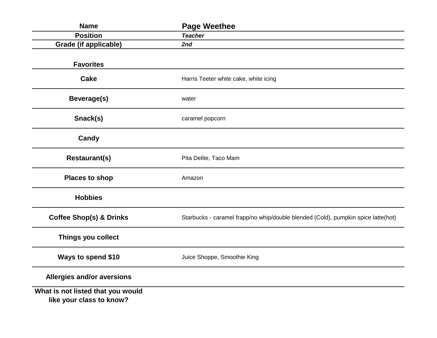| <b>Name</b>                                                   | <b>Page Weethee</b>                                                               |
|---------------------------------------------------------------|-----------------------------------------------------------------------------------|
| <b>Position</b>                                               | <b>Teacher</b>                                                                    |
| <b>Grade (if applicable)</b>                                  | 2nd                                                                               |
| <b>Favorites</b>                                              |                                                                                   |
| <b>Cake</b>                                                   | Harris Teeter white cake, white icing                                             |
| Beverage(s)                                                   | water                                                                             |
| Snack(s)                                                      | caramel popcorn                                                                   |
| Candy                                                         |                                                                                   |
| <b>Restaurant(s)</b>                                          | Pita Delite, Taco Mam                                                             |
| <b>Places to shop</b>                                         | Amazon                                                                            |
| <b>Hobbies</b>                                                |                                                                                   |
| <b>Coffee Shop(s) &amp; Drinks</b>                            | Starbucks - caramel frapp/no whip/double blended (Cold), pumpkin spice latte(hot) |
| Things you collect                                            |                                                                                   |
| Ways to spend \$10                                            | Juice Shoppe, Smoothie King                                                       |
| Allergies and/or aversions                                    |                                                                                   |
| What is not listed that you would<br>like your class to know? |                                                                                   |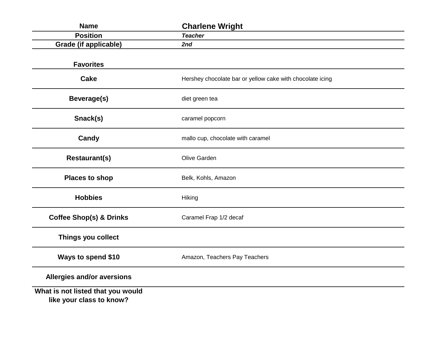| <b>Name</b>                                                   | <b>Charlene Wright</b>                                    |
|---------------------------------------------------------------|-----------------------------------------------------------|
| <b>Position</b>                                               | <b>Teacher</b>                                            |
| <b>Grade (if applicable)</b>                                  | 2nd                                                       |
| <b>Favorites</b>                                              |                                                           |
| <b>Cake</b>                                                   | Hershey chocolate bar or yellow cake with chocolate icing |
| <b>Beverage(s)</b>                                            | diet green tea                                            |
| Snack(s)                                                      | caramel popcorn                                           |
| Candy                                                         | mallo cup, chocolate with caramel                         |
| <b>Restaurant(s)</b>                                          | Olive Garden                                              |
| <b>Places to shop</b>                                         | Belk, Kohls, Amazon                                       |
| <b>Hobbies</b>                                                | Hiking                                                    |
| <b>Coffee Shop(s) &amp; Drinks</b>                            | Caramel Frap 1/2 decaf                                    |
| Things you collect                                            |                                                           |
| Ways to spend \$10                                            | Amazon, Teachers Pay Teachers                             |
| Allergies and/or aversions                                    |                                                           |
| What is not listed that you would<br>like your class to know? |                                                           |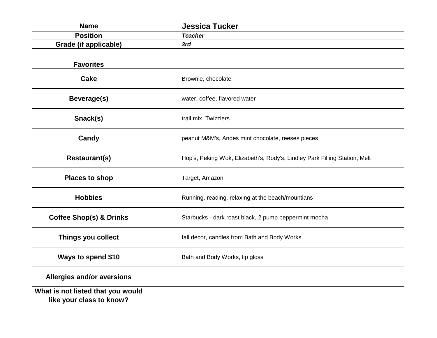| <b>Name</b>                                                   | <b>Jessica Tucker</b>                                                      |
|---------------------------------------------------------------|----------------------------------------------------------------------------|
| <b>Position</b>                                               | <b>Teacher</b>                                                             |
| <b>Grade (if applicable)</b>                                  | 3rd                                                                        |
| <b>Favorites</b>                                              |                                                                            |
| <b>Cake</b>                                                   | Brownie, chocolate                                                         |
| Beverage(s)                                                   | water, coffee, flavored water                                              |
| Snack(s)                                                      | trail mix, Twizzlers                                                       |
| Candy                                                         | peanut M&M's, Andes mint chocolate, reeses pieces                          |
| <b>Restaurant(s)</b>                                          | Hop's, Peking Wok, Elizabeth's, Rody's, Lindley Park Filling Station, Melt |
| <b>Places to shop</b>                                         | Target, Amazon                                                             |
| <b>Hobbies</b>                                                | Running, reading, relaxing at the beach/mountians                          |
| <b>Coffee Shop(s) &amp; Drinks</b>                            | Starbucks - dark roast black, 2 pump peppermint mocha                      |
| Things you collect                                            | fall decor, candles from Bath and Body Works                               |
| Ways to spend \$10                                            | Bath and Body Works, lip gloss                                             |
| Allergies and/or aversions                                    |                                                                            |
| What is not listed that you would<br>like your class to know? |                                                                            |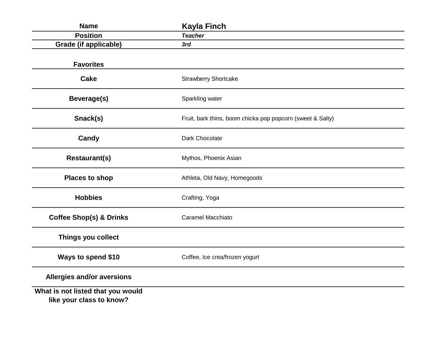| <b>Name</b>                                                   | <b>Kayla Finch</b>                                         |
|---------------------------------------------------------------|------------------------------------------------------------|
| <b>Position</b>                                               | <b>Teacher</b>                                             |
| <b>Grade (if applicable)</b>                                  | 3rd                                                        |
| <b>Favorites</b>                                              |                                                            |
| <b>Cake</b>                                                   | <b>Strawberry Shortcake</b>                                |
| Beverage(s)                                                   | Sparkling water                                            |
| Snack(s)                                                      | Fruit, bark thins, boom chicka pop popcorn (sweet & Salty) |
| Candy                                                         | Dark Chocolate                                             |
| <b>Restaurant(s)</b>                                          | Mythos, Phoenix Asian                                      |
| <b>Places to shop</b>                                         | Athleta, Old Navy, Homegoods                               |
| <b>Hobbies</b>                                                | Crafting, Yoga                                             |
| <b>Coffee Shop(s) &amp; Drinks</b>                            | <b>Caramel Macchiato</b>                                   |
| Things you collect                                            |                                                            |
| Ways to spend \$10                                            | Coffee, Ice crea/frozen yogurt                             |
| <b>Allergies and/or aversions</b>                             |                                                            |
| What is not listed that you would<br>like your class to know? |                                                            |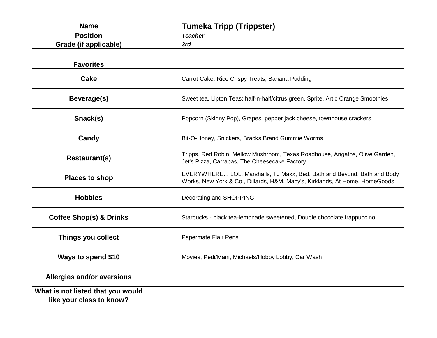| <b>Name</b>                                                   | <b>Tumeka Tripp (Trippster)</b>                                                                                                                        |
|---------------------------------------------------------------|--------------------------------------------------------------------------------------------------------------------------------------------------------|
| <b>Position</b>                                               | <b>Teacher</b>                                                                                                                                         |
| Grade (if applicable)                                         | 3rd                                                                                                                                                    |
| <b>Favorites</b>                                              |                                                                                                                                                        |
| <b>Cake</b>                                                   | Carrot Cake, Rice Crispy Treats, Banana Pudding                                                                                                        |
| Beverage(s)                                                   | Sweet tea, Lipton Teas: half-n-half/citrus green, Sprite, Artic Orange Smoothies                                                                       |
| Snack(s)                                                      | Popcorn (Skinny Pop), Grapes, pepper jack cheese, townhouse crackers                                                                                   |
| Candy                                                         | Bit-O-Honey, Snickers, Bracks Brand Gummie Worms                                                                                                       |
| <b>Restaurant(s)</b>                                          | Tripps, Red Robin, Mellow Mushroom, Texas Roadhouse, Arigatos, Olive Garden,<br>Jet's Pizza, Carrabas, The Cheesecake Factory                          |
| <b>Places to shop</b>                                         | EVERYWHERE LOL, Marshalls, TJ Maxx, Bed, Bath and Beyond, Bath and Body<br>Works, New York & Co., Dillards, H&M, Macy's, Kirklands, At Home, HomeGoods |
| <b>Hobbies</b>                                                | Decorating and SHOPPING                                                                                                                                |
| <b>Coffee Shop(s) &amp; Drinks</b>                            | Starbucks - black tea-lemonade sweetened, Double chocolate frappuccino                                                                                 |
| Things you collect                                            | Papermate Flair Pens                                                                                                                                   |
| Ways to spend \$10                                            | Movies, Pedi/Mani, Michaels/Hobby Lobby, Car Wash                                                                                                      |
| <b>Allergies and/or aversions</b>                             |                                                                                                                                                        |
| What is not listed that you would<br>like your class to know? |                                                                                                                                                        |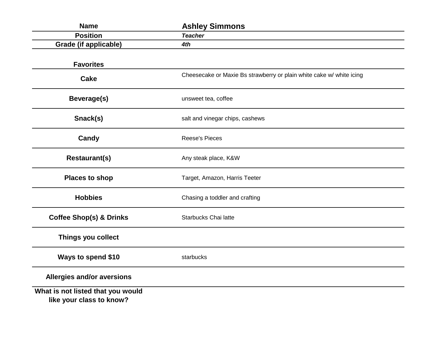| <b>Name</b>                                                   | <b>Ashley Simmons</b>                                                |
|---------------------------------------------------------------|----------------------------------------------------------------------|
| <b>Position</b>                                               | <b>Teacher</b>                                                       |
| <b>Grade (if applicable)</b>                                  | 4th                                                                  |
| <b>Favorites</b>                                              |                                                                      |
| <b>Cake</b>                                                   | Cheesecake or Maxie Bs strawberry or plain white cake w/ white icing |
| Beverage(s)                                                   | unsweet tea, coffee                                                  |
| Snack(s)                                                      | salt and vinegar chips, cashews                                      |
| Candy                                                         | <b>Reese's Pieces</b>                                                |
| <b>Restaurant(s)</b>                                          | Any steak place, K&W                                                 |
| <b>Places to shop</b>                                         | Target, Amazon, Harris Teeter                                        |
| <b>Hobbies</b>                                                | Chasing a toddler and crafting                                       |
| <b>Coffee Shop(s) &amp; Drinks</b>                            | Starbucks Chai latte                                                 |
| Things you collect                                            |                                                                      |
| Ways to spend \$10                                            | starbucks                                                            |
| <b>Allergies and/or aversions</b>                             |                                                                      |
| What is not listed that you would<br>like your class to know? |                                                                      |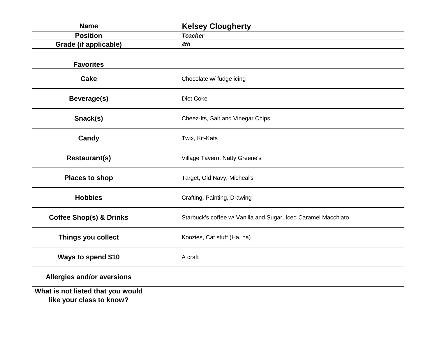| <b>Name</b>                                                   | <b>Kelsey Clougherty</b>                                       |
|---------------------------------------------------------------|----------------------------------------------------------------|
| <b>Position</b>                                               | <b>Teacher</b>                                                 |
| Grade (if applicable)                                         | 4th                                                            |
| <b>Favorites</b>                                              |                                                                |
| <b>Cake</b>                                                   | Chocolate w/ fudge icing                                       |
| <b>Beverage(s)</b>                                            | Diet Coke                                                      |
| Snack(s)                                                      | Cheez-Its, Salt and Vinegar Chips                              |
| Candy                                                         | Twix, Kit-Kats                                                 |
| <b>Restaurant(s)</b>                                          | Village Tavern, Natty Greene's                                 |
| <b>Places to shop</b>                                         | Target, Old Navy, Micheal's                                    |
| <b>Hobbies</b>                                                | Crafting, Painting, Drawing                                    |
| <b>Coffee Shop(s) &amp; Drinks</b>                            | Starbuck's coffee w/ Vanilla and Sugar, Iced Caramel Macchiato |
| Things you collect                                            | Koozies, Cat stuff (Ha, ha)                                    |
| Ways to spend \$10                                            | A craft                                                        |
| Allergies and/or aversions                                    |                                                                |
| What is not listed that you would<br>like your class to know? |                                                                |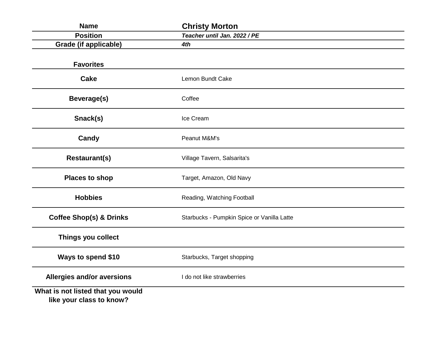| <b>Name</b>                                                   | <b>Christy Morton</b>                      |
|---------------------------------------------------------------|--------------------------------------------|
| <b>Position</b>                                               | Teacher until Jan. 2022 / PE               |
| <b>Grade (if applicable)</b>                                  | 4th                                        |
| <b>Favorites</b>                                              |                                            |
| <b>Cake</b>                                                   | Lemon Bundt Cake                           |
| <b>Beverage(s)</b>                                            | Coffee                                     |
| Snack(s)                                                      | Ice Cream                                  |
| Candy                                                         | Peanut M&M's                               |
| <b>Restaurant(s)</b>                                          | Village Tavern, Salsarita's                |
| <b>Places to shop</b>                                         | Target, Amazon, Old Navy                   |
| <b>Hobbies</b>                                                | Reading, Watching Football                 |
| <b>Coffee Shop(s) &amp; Drinks</b>                            | Starbucks - Pumpkin Spice or Vanilla Latte |
| Things you collect                                            |                                            |
| Ways to spend \$10                                            | Starbucks, Target shopping                 |
| Allergies and/or aversions                                    | I do not like strawberries                 |
| What is not listed that you would<br>like your class to know? |                                            |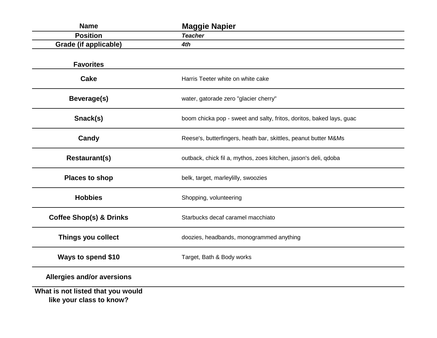| <b>Name</b>                                                   | <b>Maggie Napier</b>                                                 |
|---------------------------------------------------------------|----------------------------------------------------------------------|
| <b>Position</b>                                               | <b>Teacher</b>                                                       |
| <b>Grade (if applicable)</b>                                  | 4th                                                                  |
| <b>Favorites</b>                                              |                                                                      |
| Cake                                                          | Harris Teeter white on white cake                                    |
| Beverage(s)                                                   | water, gatorade zero "glacier cherry"                                |
| Snack(s)                                                      | boom chicka pop - sweet and salty, fritos, doritos, baked lays, guac |
| Candy                                                         | Reese's, butterfingers, heath bar, skittles, peanut butter M&Ms      |
| <b>Restaurant(s)</b>                                          | outback, chick fil a, mythos, zoes kitchen, jason's deli, qdoba      |
| <b>Places to shop</b>                                         | belk, target, marleylilly, swoozies                                  |
| <b>Hobbies</b>                                                | Shopping, volunteering                                               |
| <b>Coffee Shop(s) &amp; Drinks</b>                            | Starbucks decaf caramel macchiato                                    |
| Things you collect                                            | doozies, headbands, monogrammed anything                             |
| Ways to spend \$10                                            | Target, Bath & Body works                                            |
| <b>Allergies and/or aversions</b>                             |                                                                      |
| What is not listed that you would<br>like your class to know? |                                                                      |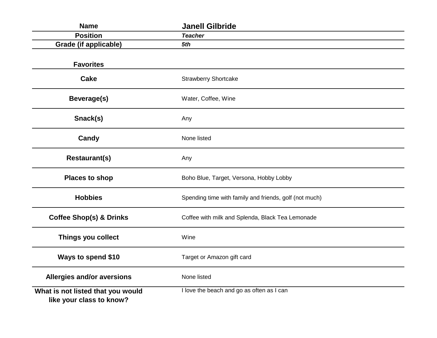| <b>Name</b>                                                   | <b>Janell Gilbride</b>                                 |
|---------------------------------------------------------------|--------------------------------------------------------|
| <b>Position</b>                                               | <b>Teacher</b>                                         |
| <b>Grade (if applicable)</b>                                  | 5th                                                    |
| <b>Favorites</b>                                              |                                                        |
| <b>Cake</b>                                                   | <b>Strawberry Shortcake</b>                            |
| Beverage(s)                                                   | Water, Coffee, Wine                                    |
| Snack(s)                                                      | Any                                                    |
| Candy                                                         | None listed                                            |
| <b>Restaurant(s)</b>                                          | Any                                                    |
| <b>Places to shop</b>                                         | Boho Blue, Target, Versona, Hobby Lobby                |
| <b>Hobbies</b>                                                | Spending time with family and friends, golf (not much) |
| <b>Coffee Shop(s) &amp; Drinks</b>                            | Coffee with milk and Splenda, Black Tea Lemonade       |
| Things you collect                                            | Wine                                                   |
| Ways to spend \$10                                            | Target or Amazon gift card                             |
| <b>Allergies and/or aversions</b>                             | None listed                                            |
| What is not listed that you would<br>like your class to know? | I love the beach and go as often as I can              |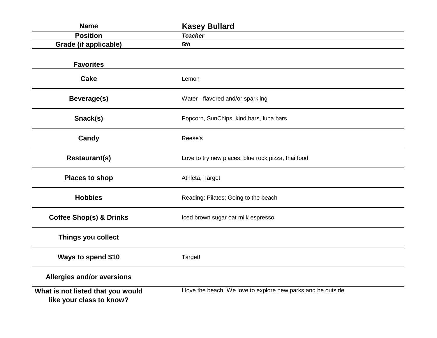| <b>Name</b>                                                   | <b>Kasey Bullard</b>                                          |
|---------------------------------------------------------------|---------------------------------------------------------------|
| <b>Position</b>                                               | <b>Teacher</b>                                                |
| <b>Grade (if applicable)</b>                                  | 5th                                                           |
| <b>Favorites</b>                                              |                                                               |
| <b>Cake</b>                                                   | Lemon                                                         |
| Beverage(s)                                                   | Water - flavored and/or sparkling                             |
| Snack(s)                                                      | Popcorn, SunChips, kind bars, luna bars                       |
| Candy                                                         | Reese's                                                       |
| <b>Restaurant(s)</b>                                          | Love to try new places; blue rock pizza, thai food            |
| <b>Places to shop</b>                                         | Athleta, Target                                               |
| <b>Hobbies</b>                                                | Reading; Pilates; Going to the beach                          |
| <b>Coffee Shop(s) &amp; Drinks</b>                            | Iced brown sugar oat milk espresso                            |
| Things you collect                                            |                                                               |
| <b>Ways to spend \$10</b>                                     | Target!                                                       |
| Allergies and/or aversions                                    |                                                               |
| What is not listed that you would<br>like your class to know? | I love the beach! We love to explore new parks and be outside |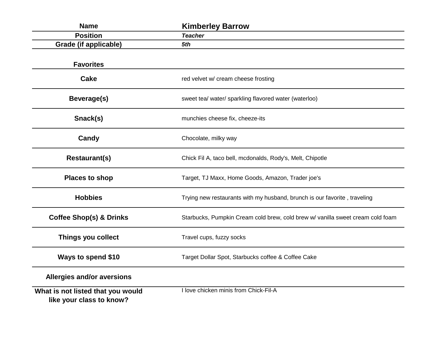| <b>Name</b>                                                   | <b>Kimberley Barrow</b>                                                        |
|---------------------------------------------------------------|--------------------------------------------------------------------------------|
| <b>Position</b>                                               | <b>Teacher</b>                                                                 |
| <b>Grade (if applicable)</b>                                  | 5th                                                                            |
| <b>Favorites</b>                                              |                                                                                |
| <b>Cake</b>                                                   | red velvet w/ cream cheese frosting                                            |
| Beverage(s)                                                   | sweet tea/ water/ sparkling flavored water (waterloo)                          |
| Snack(s)                                                      | munchies cheese fix, cheeze-its                                                |
| Candy                                                         | Chocolate, milky way                                                           |
| <b>Restaurant(s)</b>                                          | Chick Fil A, taco bell, mcdonalds, Rody's, Melt, Chipotle                      |
| <b>Places to shop</b>                                         | Target, TJ Maxx, Home Goods, Amazon, Trader joe's                              |
| <b>Hobbies</b>                                                | Trying new restaurants with my husband, brunch is our favorite, traveling      |
| <b>Coffee Shop(s) &amp; Drinks</b>                            | Starbucks, Pumpkin Cream cold brew, cold brew w/ vanilla sweet cream cold foam |
| Things you collect                                            | Travel cups, fuzzy socks                                                       |
| Ways to spend \$10                                            | Target Dollar Spot, Starbucks coffee & Coffee Cake                             |
| <b>Allergies and/or aversions</b>                             |                                                                                |
| What is not listed that you would<br>like your class to know? | I love chicken minis from Chick-Fil-A                                          |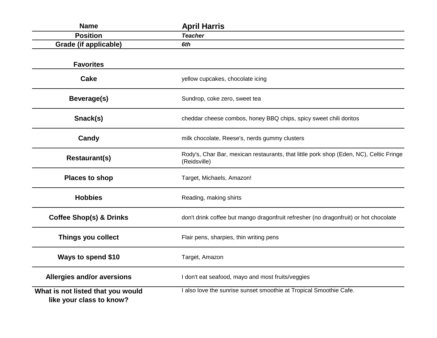| <b>Name</b>                                                   | <b>April Harris</b>                                                                                    |
|---------------------------------------------------------------|--------------------------------------------------------------------------------------------------------|
| <b>Position</b>                                               | <b>Teacher</b>                                                                                         |
| Grade (if applicable)                                         | 6th                                                                                                    |
| <b>Favorites</b>                                              |                                                                                                        |
| <b>Cake</b>                                                   | yellow cupcakes, chocolate icing                                                                       |
| Beverage(s)                                                   | Sundrop, coke zero, sweet tea                                                                          |
| Snack(s)                                                      | cheddar cheese combos, honey BBQ chips, spicy sweet chili doritos                                      |
| Candy                                                         | milk chocolate, Reese's, nerds gummy clusters                                                          |
| <b>Restaurant(s)</b>                                          | Rody's, Char Bar, mexican restaurants, that little pork shop (Eden, NC), Celtic Fringe<br>(Reidsville) |
| <b>Places to shop</b>                                         | Target, Michaels, Amazon!                                                                              |
| <b>Hobbies</b>                                                | Reading, making shirts                                                                                 |
| <b>Coffee Shop(s) &amp; Drinks</b>                            | don't drink coffee but mango dragonfruit refresher (no dragonfruit) or hot chocolate                   |
| Things you collect                                            | Flair pens, sharpies, thin writing pens                                                                |
| Ways to spend \$10                                            | Target, Amazon                                                                                         |
| <b>Allergies and/or aversions</b>                             | I don't eat seafood, mayo and most fruits/veggies                                                      |
| What is not listed that you would<br>like your class to know? | I also love the sunrise sunset smoothie at Tropical Smoothie Cafe.                                     |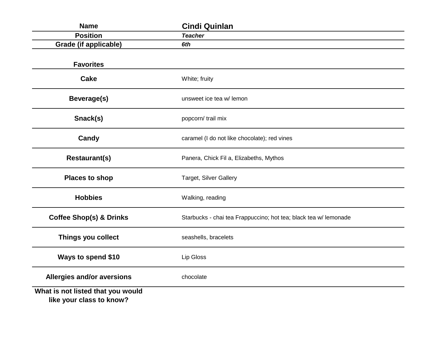| <b>Name</b>                                                   | <b>Cindi Quinlan</b>                                             |
|---------------------------------------------------------------|------------------------------------------------------------------|
| <b>Position</b>                                               | <b>Teacher</b>                                                   |
| <b>Grade (if applicable)</b>                                  | 6th                                                              |
| <b>Favorites</b>                                              |                                                                  |
| <b>Cake</b>                                                   | White; fruity                                                    |
| <b>Beverage(s)</b>                                            | unsweet ice tea w/ lemon                                         |
| Snack(s)                                                      | popcorn/ trail mix                                               |
| Candy                                                         | caramel (I do not like chocolate); red vines                     |
| <b>Restaurant(s)</b>                                          | Panera, Chick Fil a, Elizabeths, Mythos                          |
| <b>Places to shop</b>                                         | Target, Silver Gallery                                           |
| <b>Hobbies</b>                                                | Walking, reading                                                 |
| <b>Coffee Shop(s) &amp; Drinks</b>                            | Starbucks - chai tea Frappuccino; hot tea; black tea w/ lemonade |
| Things you collect                                            | seashells, bracelets                                             |
| Ways to spend \$10                                            | Lip Gloss                                                        |
| <b>Allergies and/or aversions</b>                             | chocolate                                                        |
| What is not listed that you would<br>like your class to know? |                                                                  |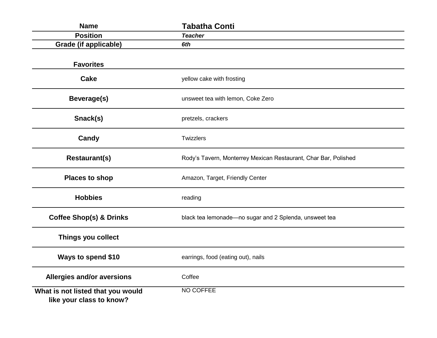| <b>Name</b>                                                   | <b>Tabatha Conti</b>                                            |
|---------------------------------------------------------------|-----------------------------------------------------------------|
| <b>Position</b>                                               | <b>Teacher</b>                                                  |
| <b>Grade (if applicable)</b>                                  | 6th                                                             |
| <b>Favorites</b>                                              |                                                                 |
| <b>Cake</b>                                                   | yellow cake with frosting                                       |
| Beverage(s)                                                   | unsweet tea with lemon, Coke Zero                               |
| Snack(s)                                                      | pretzels, crackers                                              |
| Candy                                                         | Twizzlers                                                       |
| <b>Restaurant(s)</b>                                          | Rody's Tavern, Monterrey Mexican Restaurant, Char Bar, Polished |
| <b>Places to shop</b>                                         | Amazon, Target, Friendly Center                                 |
| <b>Hobbies</b>                                                | reading                                                         |
| <b>Coffee Shop(s) &amp; Drinks</b>                            | black tea lemonade-no sugar and 2 Splenda, unsweet tea          |
| Things you collect                                            |                                                                 |
| Ways to spend \$10                                            | earrings, food (eating out), nails                              |
| <b>Allergies and/or aversions</b>                             | Coffee                                                          |
| What is not listed that you would<br>like your class to know? | NO COFFEE                                                       |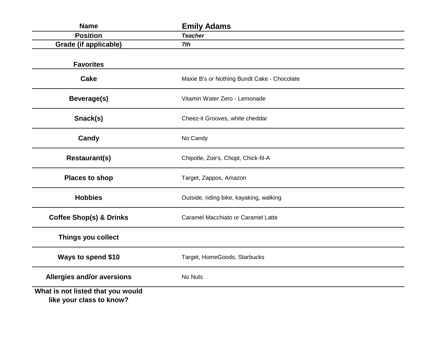| <b>Name</b>                                                   | <b>Emily Adams</b>                          |
|---------------------------------------------------------------|---------------------------------------------|
| <b>Position</b>                                               | <b>Teacher</b>                              |
| <b>Grade (if applicable)</b>                                  | 7th                                         |
| <b>Favorites</b>                                              |                                             |
| <b>Cake</b>                                                   | Maxie B's or Nothing Bundt Cake - Chocolate |
| <b>Beverage(s)</b>                                            | Vitamin Water Zero - Lemonade               |
| Snack(s)                                                      | Cheez-it Grooves, white cheddar             |
| Candy                                                         | No Candy                                    |
| <b>Restaurant(s)</b>                                          | Chipotle, Zoe's, Chopt, Chick-fil-A         |
| <b>Places to shop</b>                                         | Target, Zappos, Amazon                      |
| <b>Hobbies</b>                                                | Outside, riding bike, kayaking, walking     |
| <b>Coffee Shop(s) &amp; Drinks</b>                            | Caramel Macchiato or Caramel Latte          |
| Things you collect                                            |                                             |
| Ways to spend \$10                                            | Target, HomeGoods, Starbucks                |
| <b>Allergies and/or aversions</b>                             | No Nuts                                     |
| What is not listed that you would<br>like your class to know? |                                             |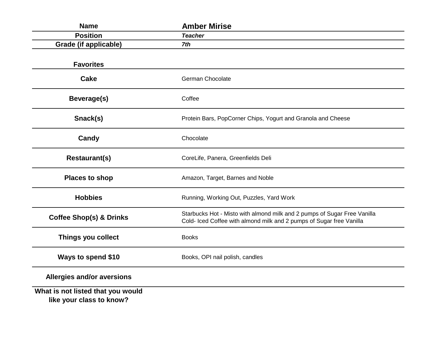| <b>Name</b>                                                   | <b>Amber Mirise</b>                                                                                                                              |
|---------------------------------------------------------------|--------------------------------------------------------------------------------------------------------------------------------------------------|
| <b>Position</b>                                               | <b>Teacher</b>                                                                                                                                   |
| Grade (if applicable)                                         | 7th                                                                                                                                              |
| <b>Favorites</b>                                              |                                                                                                                                                  |
| <b>Cake</b>                                                   | German Chocolate                                                                                                                                 |
| <b>Beverage(s)</b>                                            | Coffee                                                                                                                                           |
| Snack(s)                                                      | Protein Bars, PopCorner Chips, Yogurt and Granola and Cheese                                                                                     |
| Candy                                                         | Chocolate                                                                                                                                        |
| <b>Restaurant(s)</b>                                          | CoreLife, Panera, Greenfields Deli                                                                                                               |
| <b>Places to shop</b>                                         | Amazon, Target, Barnes and Noble                                                                                                                 |
| <b>Hobbies</b>                                                | Running, Working Out, Puzzles, Yard Work                                                                                                         |
| <b>Coffee Shop(s) &amp; Drinks</b>                            | Starbucks Hot - Misto with almond milk and 2 pumps of Sugar Free Vanilla<br>Cold- Iced Coffee with almond milk and 2 pumps of Sugar free Vanilla |
| Things you collect                                            | <b>Books</b>                                                                                                                                     |
| Ways to spend \$10                                            | Books, OPI nail polish, candles                                                                                                                  |
| Allergies and/or aversions                                    |                                                                                                                                                  |
| What is not listed that you would<br>like your class to know? |                                                                                                                                                  |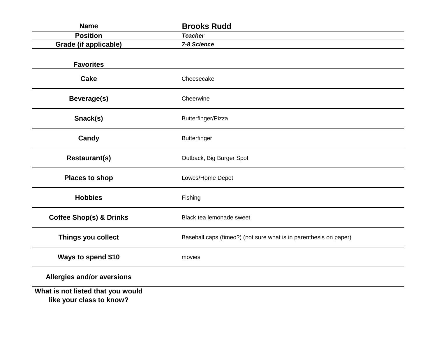| <b>Name</b>                                                   | <b>Brooks Rudd</b>                                                |
|---------------------------------------------------------------|-------------------------------------------------------------------|
| <b>Position</b>                                               | <b>Teacher</b>                                                    |
| <b>Grade (if applicable)</b>                                  | 7-8 Science                                                       |
| <b>Favorites</b>                                              |                                                                   |
| <b>Cake</b>                                                   | Cheesecake                                                        |
| Beverage(s)                                                   | Cheerwine                                                         |
| Snack(s)                                                      | Butterfinger/Pizza                                                |
| Candy                                                         | <b>Butterfinger</b>                                               |
| <b>Restaurant(s)</b>                                          | Outback, Big Burger Spot                                          |
| <b>Places to shop</b>                                         | Lowes/Home Depot                                                  |
| <b>Hobbies</b>                                                | Fishing                                                           |
| <b>Coffee Shop(s) &amp; Drinks</b>                            | Black tea lemonade sweet                                          |
| Things you collect                                            | Baseball caps (fimeo?) (not sure what is in parenthesis on paper) |
| Ways to spend \$10                                            | movies                                                            |
| Allergies and/or aversions                                    |                                                                   |
| What is not listed that you would<br>like your class to know? |                                                                   |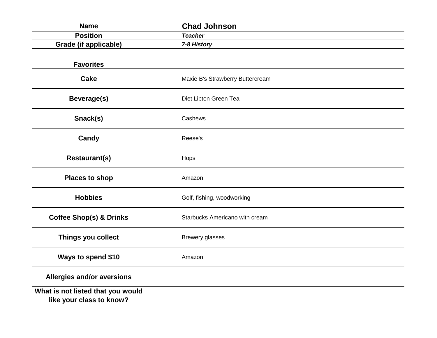| <b>Name</b>                                                   | <b>Chad Johnson</b>              |
|---------------------------------------------------------------|----------------------------------|
| <b>Position</b>                                               | <b>Teacher</b>                   |
| <b>Grade (if applicable)</b>                                  | 7-8 History                      |
| <b>Favorites</b>                                              |                                  |
| <b>Cake</b>                                                   | Maxie B's Strawberry Buttercream |
| <b>Beverage(s)</b>                                            | Diet Lipton Green Tea            |
| Snack(s)                                                      | Cashews                          |
| Candy                                                         | Reese's                          |
| <b>Restaurant(s)</b>                                          | Hops                             |
| <b>Places to shop</b>                                         | Amazon                           |
| <b>Hobbies</b>                                                | Golf, fishing, woodworking       |
| <b>Coffee Shop(s) &amp; Drinks</b>                            | Starbucks Americano with cream   |
| Things you collect                                            | <b>Brewery glasses</b>           |
| Ways to spend \$10                                            | Amazon                           |
| Allergies and/or aversions                                    |                                  |
| What is not listed that you would<br>like your class to know? |                                  |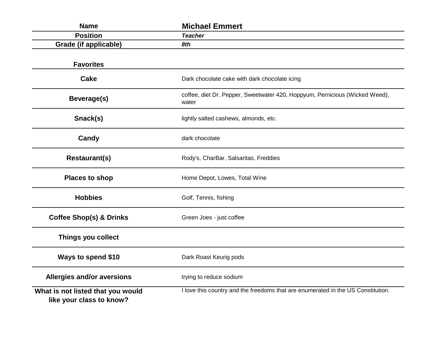| <b>Name</b>                                                   | <b>Michael Emmert</b>                                                                |
|---------------------------------------------------------------|--------------------------------------------------------------------------------------|
| <b>Position</b>                                               | <b>Teacher</b>                                                                       |
| Grade (if applicable)                                         | 8th                                                                                  |
| <b>Favorites</b>                                              |                                                                                      |
| <b>Cake</b>                                                   | Dark chocolate cake with dark chocolate icing                                        |
| Beverage(s)                                                   | coffee, diet Dr. Pepper, Sweetwater 420, Hoppyum, Pernicious (Wicked Weed),<br>water |
| Snack(s)                                                      | lightly salted cashews, almonds, etc.                                                |
| Candy                                                         | dark chocolate                                                                       |
| <b>Restaurant(s)</b>                                          | Rody's, CharBar, Salsaritas, Freddies                                                |
| <b>Places to shop</b>                                         | Home Depot, Lowes, Total Wine                                                        |
| <b>Hobbies</b>                                                | Golf, Tennis, fishing                                                                |
| <b>Coffee Shop(s) &amp; Drinks</b>                            | Green Joes - just coffee                                                             |
| Things you collect                                            |                                                                                      |
| Ways to spend \$10                                            | Dark Roast Keurig pods                                                               |
| Allergies and/or aversions                                    | trying to reduce sodium                                                              |
| What is not listed that you would<br>like your class to know? | I love this country and the freedoms that are enumerated in the US Constitution.     |